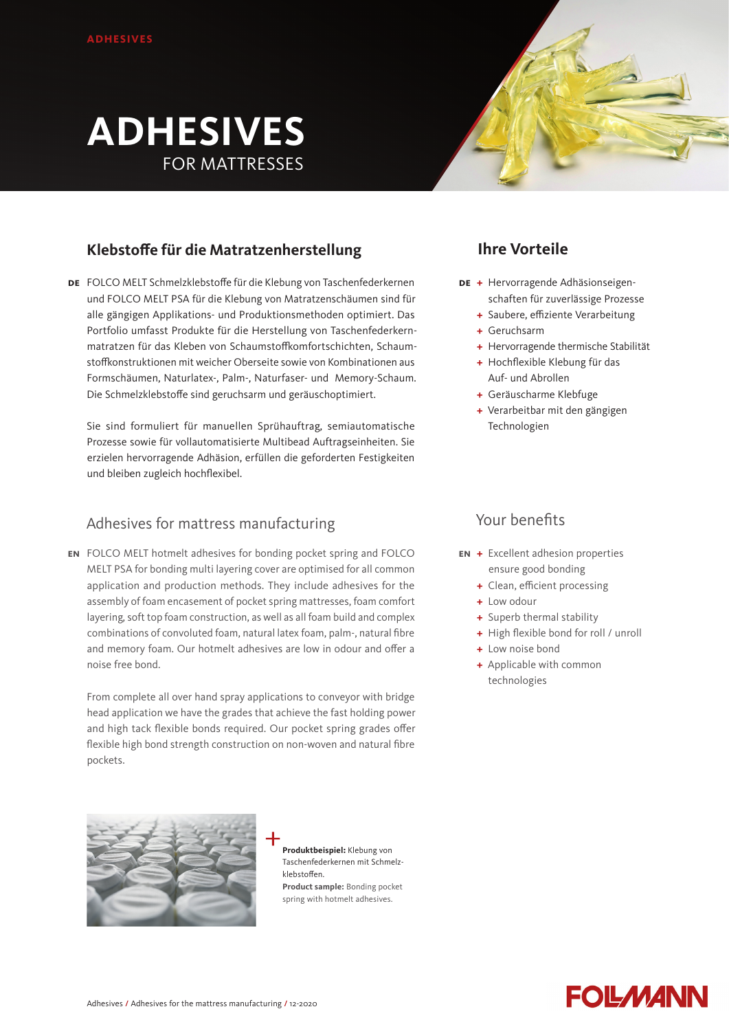# **ADHESIVES** FOR MATTRESSES

# **Klebstoffe für die Matratzenherstellung**

FOLCO MELT Schmelzklebstoffe für die Klebung von Taschenfederkernen **de** und FOLCO MELT PSA für die Klebung von Matratzenschäumen sind für alle gängigen Applikations- und Produktionsmethoden optimiert. Das Portfolio umfasst Produkte für die Herstellung von Taschenfederkernmatratzen für das Kleben von Schaumstoffkomfortschichten, Schaumstoffkonstruktionen mit weicher Oberseite sowie von Kombinationen aus Formschäumen, Naturlatex-, Palm-, Naturfaser- und Memory-Schaum. Die Schmelzklebstoffe sind geruchsarm und geräuschoptimiert.

Sie sind formuliert für manuellen Sprühauftrag, semiautomatische Prozesse sowie für vollautomatisierte Multibead Auftragseinheiten. Sie erzielen hervorragende Adhäsion, erfüllen die geforderten Festigkeiten und bleiben zugleich hochflexibel.

## Adhesives for mattress manufacturing

FOLCO MELT hotmelt adhesives for bonding pocket spring and FOLCO **en** MELT PSA for bonding multi layering cover are optimised for all common application and production methods. They include adhesives for the assembly of foam encasement of pocket spring mattresses, foam comfort layering, soft top foam construction, as well as all foam build and complex combinations of convoluted foam, natural latex foam, palm-, natural fibre and memory foam. Our hotmelt adhesives are low in odour and offer a noise free bond.

From complete all over hand spray applications to conveyor with bridge head application we have the grades that achieve the fast holding power and high tack flexible bonds required. Our pocket spring grades offer flexible high bond strength construction on non-woven and natural fibre pockets.

**+** Geräuscharme Klebfuge

**+** Verarbeitbar mit den gängigen Technologien

Auf- und Abrollen

**+** Hervorragende Adhäsionseigen-**de**

schaften für zuverlässige Prozesse **+** Saubere, effiziente Verarbeitung

**+** Hervorragende thermische Stabilität **+** Hochflexible Klebung für das

**Ihre Vorteile** 

**+** Geruchsarm

## Your benefits

- **+** Excellent adhesion properties **en** ensure good bonding
	- **+** Clean, efficient processing
	- **+** Low odour
	- **+** Superb thermal stability
	- **+** High flexible bond for roll / unroll
	- **+** Low noise bond
	- **+** Applicable with common technologies



**Produktbeispiel:** Klebung von Taschenfederkernen mit Schmelzklebstoffen. **Product sample:** Bonding pocket spring with hotmelt adhesives.

# **FOLMANN**